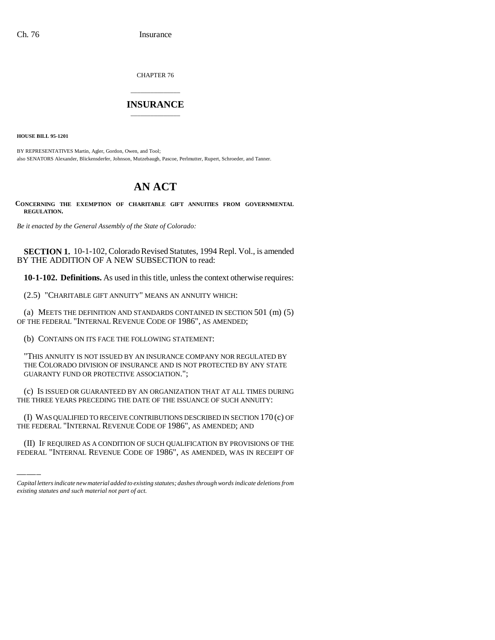CHAPTER 76

## \_\_\_\_\_\_\_\_\_\_\_\_\_\_\_ **INSURANCE** \_\_\_\_\_\_\_\_\_\_\_\_\_\_\_

**HOUSE BILL 95-1201**

BY REPRESENTATIVES Martin, Agler, Gordon, Owen, and Tool; also SENATORS Alexander, Blickensderfer, Johnson, Mutzebaugh, Pascoe, Perlmutter, Rupert, Schroeder, and Tanner.

## **AN ACT**

**CONCERNING THE EXEMPTION OF CHARITABLE GIFT ANNUITIES FROM GOVERNMENTAL REGULATION.**

*Be it enacted by the General Assembly of the State of Colorado:*

**SECTION 1.** 10-1-102, Colorado Revised Statutes, 1994 Repl. Vol., is amended BY THE ADDITION OF A NEW SUBSECTION to read:

**10-1-102. Definitions.** As used in this title, unless the context otherwise requires:

(2.5) "CHARITABLE GIFT ANNUITY" MEANS AN ANNUITY WHICH:

(a) MEETS THE DEFINITION AND STANDARDS CONTAINED IN SECTION 501 (m) (5) OF THE FEDERAL "INTERNAL REVENUE CODE OF 1986", AS AMENDED;

(b) CONTAINS ON ITS FACE THE FOLLOWING STATEMENT:

"THIS ANNUITY IS NOT ISSUED BY AN INSURANCE COMPANY NOR REGULATED BY THE COLORADO DIVISION OF INSURANCE AND IS NOT PROTECTED BY ANY STATE GUARANTY FUND OR PROTECTIVE ASSOCIATION.";

(c) IS ISSUED OR GUARANTEED BY AN ORGANIZATION THAT AT ALL TIMES DURING THE THREE YEARS PRECEDING THE DATE OF THE ISSUANCE OF SUCH ANNUITY:

(I) WAS QUALIFIED TO RECEIVE CONTRIBUTIONS DESCRIBED IN SECTION 170 (c) OF THE FEDERAL "INTERNAL REVENUE CODE OF 1986", AS AMENDED; AND

(II) IF REQUIRED AS A CONDITION OF SUCH QUALIFICATION BY PROVISIONS OF THE FEDERAL "INTERNAL REVENUE CODE OF 1986", AS AMENDED, WAS IN RECEIPT OF

*Capital letters indicate new material added to existing statutes; dashes through words indicate deletions from existing statutes and such material not part of act.*